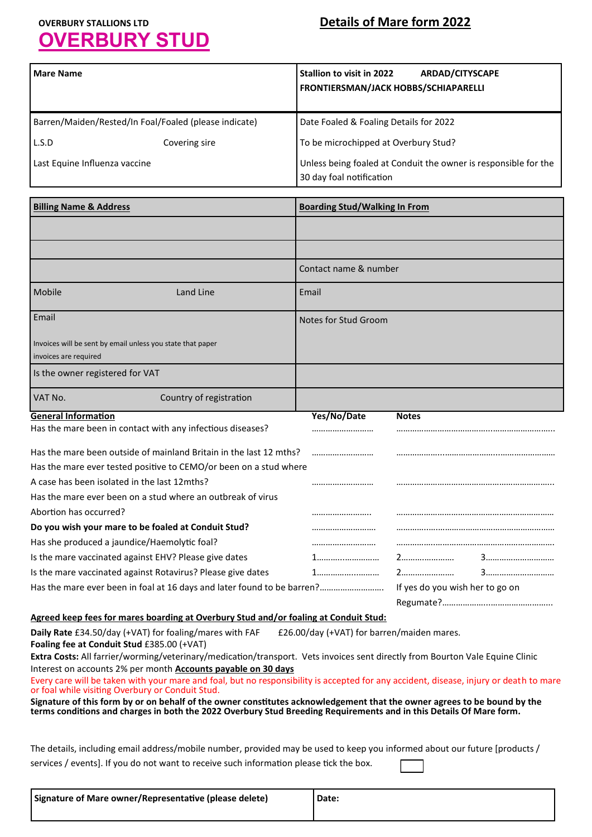# **OVERBURY STUD**

# **OVERBURY STALLIONS LTD Details of Mare form 2022**

| <b>Mare Name</b>                                                                                                                                                                                                                                | <b>Stallion to visit in 2022</b><br><b>ARDAD/CITYSCAPE</b>      |
|-------------------------------------------------------------------------------------------------------------------------------------------------------------------------------------------------------------------------------------------------|-----------------------------------------------------------------|
|                                                                                                                                                                                                                                                 | FRONTIERSMAN/JACK HOBBS/SCHIAPARELLI                            |
|                                                                                                                                                                                                                                                 |                                                                 |
| Barren/Maiden/Rested/In Foal/Foaled (please indicate)                                                                                                                                                                                           | Date Foaled & Foaling Details for 2022                          |
| L.S.D<br>Covering sire                                                                                                                                                                                                                          | To be microchipped at Overbury Stud?                            |
| Last Equine Influenza vaccine                                                                                                                                                                                                                   | Unless being foaled at Conduit the owner is responsible for the |
|                                                                                                                                                                                                                                                 | 30 day foal notification                                        |
| <b>Billing Name &amp; Address</b>                                                                                                                                                                                                               | <b>Boarding Stud/Walking In From</b>                            |
|                                                                                                                                                                                                                                                 |                                                                 |
|                                                                                                                                                                                                                                                 |                                                                 |
|                                                                                                                                                                                                                                                 |                                                                 |
|                                                                                                                                                                                                                                                 | Contact name & number                                           |
| Mobile<br><b>Land Line</b>                                                                                                                                                                                                                      | Email                                                           |
| Email                                                                                                                                                                                                                                           | Notes for Stud Groom                                            |
| Invoices will be sent by email unless you state that paper                                                                                                                                                                                      |                                                                 |
| invoices are required                                                                                                                                                                                                                           |                                                                 |
| Is the owner registered for VAT                                                                                                                                                                                                                 |                                                                 |
| VAT No.<br>Country of registration                                                                                                                                                                                                              |                                                                 |
| <b>General Information</b>                                                                                                                                                                                                                      | Yes/No/Date<br><b>Notes</b>                                     |
| Has the mare been in contact with any infectious diseases?                                                                                                                                                                                      |                                                                 |
| Has the mare been outside of mainland Britain in the last 12 mths?                                                                                                                                                                              |                                                                 |
| Has the mare ever tested positive to CEMO/or been on a stud where                                                                                                                                                                               |                                                                 |
| A case has been isolated in the last 12mths?                                                                                                                                                                                                    |                                                                 |
| Has the mare ever been on a stud where an outbreak of virus                                                                                                                                                                                     |                                                                 |
| Abortion has occurred?<br>Do you wish your mare to be foaled at Conduit Stud?                                                                                                                                                                   |                                                                 |
| Has she produced a jaundice/Haemolytic foal?                                                                                                                                                                                                    | <br>                                                            |
| Is the mare vaccinated against EHV? Please give dates                                                                                                                                                                                           |                                                                 |
| Is the mare vaccinated against Rotavirus? Please give dates                                                                                                                                                                                     |                                                                 |
| Has the mare ever been in foal at 16 days and later found to be barren?                                                                                                                                                                         | If yes do you wish her to go on                                 |
|                                                                                                                                                                                                                                                 |                                                                 |
| Agreed keep fees for mares boarding at Overbury Stud and/or foaling at Conduit Stud:                                                                                                                                                            |                                                                 |
| Daily Rate £34.50/day (+VAT) for foaling/mares with FAF<br>£26.00/day (+VAT) for barren/maiden mares.<br>Foaling fee at Conduit Stud £385.00 (+VAT)                                                                                             |                                                                 |
| Extra Costs: All farrier/worming/veterinary/medication/transport. Vets invoices sent directly from Bourton Vale Equine Clinic                                                                                                                   |                                                                 |
| Interest on accounts 2% per month <b>Accounts payable on 30 days</b>                                                                                                                                                                            |                                                                 |
| Every care will be taken with your mare and foal, but no responsibility is accepted for any accident, disease, injury or death to mare<br>or foal while visiting Overbury or Conduit Stud.                                                      |                                                                 |
| Signature of this form by or on behalf of the owner constitutes acknowledgement that the owner agrees to be bound by the<br>terms conditions and charges in both the 2022 Overbury Stud Breeding Requirements and in this Details Of Mare form. |                                                                 |
| The details, including email address/mobile number, provided may be used to keep you informed about our future [products /                                                                                                                      |                                                                 |
| services / events]. If you do not want to receive such information please tick the box.                                                                                                                                                         |                                                                 |
|                                                                                                                                                                                                                                                 |                                                                 |